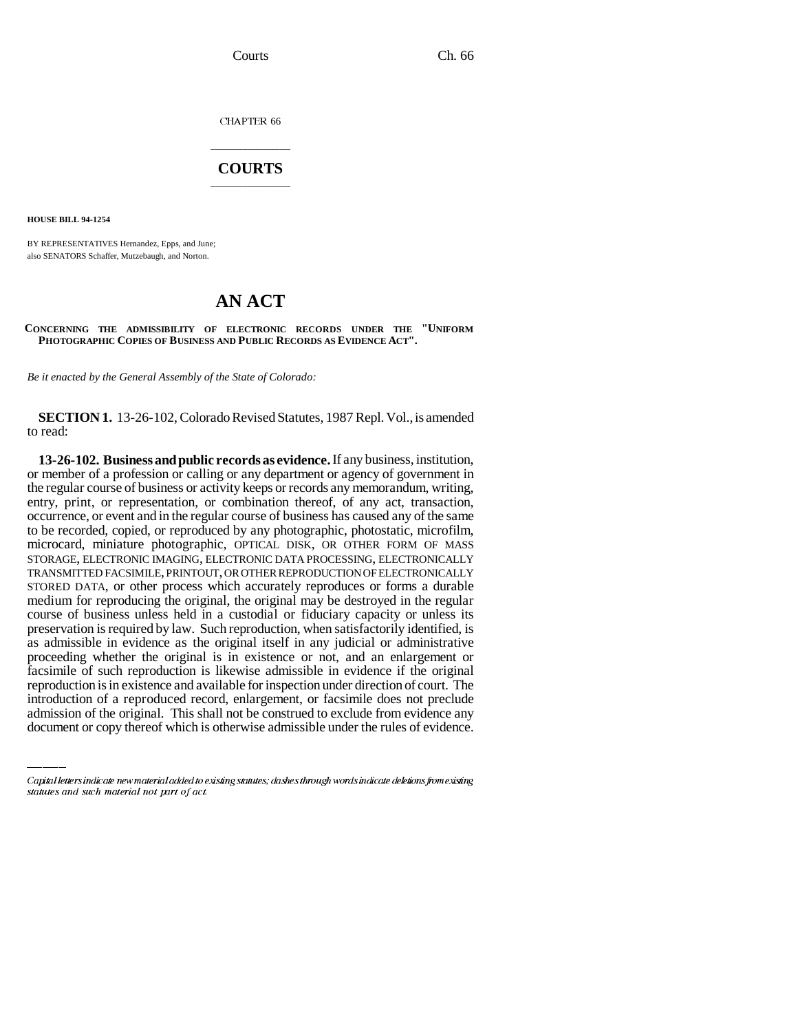Courts Ch. 66

CHAPTER 66

## \_\_\_\_\_\_\_\_\_\_\_\_\_\_\_ **COURTS** \_\_\_\_\_\_\_\_\_\_\_\_\_\_\_

**HOUSE BILL 94-1254**

BY REPRESENTATIVES Hernandez, Epps, and June; also SENATORS Schaffer, Mutzebaugh, and Norton.

## **AN ACT**

## **CONCERNING THE ADMISSIBILITY OF ELECTRONIC RECORDS UNDER THE "UNIFORM PHOTOGRAPHIC COPIES OF BUSINESS AND PUBLIC RECORDS AS EVIDENCE ACT".**

*Be it enacted by the General Assembly of the State of Colorado:*

**SECTION 1.** 13-26-102, Colorado Revised Statutes, 1987 Repl. Vol., is amended to read:

facsimile of such reproduction is likewise admissible in evidence if the original **13-26-102. Business and public records as evidence.** If any business, institution, or member of a profession or calling or any department or agency of government in the regular course of business or activity keeps or records any memorandum, writing, entry, print, or representation, or combination thereof, of any act, transaction, occurrence, or event and in the regular course of business has caused any of the same to be recorded, copied, or reproduced by any photographic, photostatic, microfilm, microcard, miniature photographic, OPTICAL DISK, OR OTHER FORM OF MASS STORAGE, ELECTRONIC IMAGING, ELECTRONIC DATA PROCESSING, ELECTRONICALLY TRANSMITTED FACSIMILE, PRINTOUT, OR OTHER REPRODUCTION OF ELECTRONICALLY STORED DATA, or other process which accurately reproduces or forms a durable medium for reproducing the original, the original may be destroyed in the regular course of business unless held in a custodial or fiduciary capacity or unless its preservation is required by law. Such reproduction, when satisfactorily identified, is as admissible in evidence as the original itself in any judicial or administrative proceeding whether the original is in existence or not, and an enlargement or reproduction is in existence and available for inspection under direction of court. The introduction of a reproduced record, enlargement, or facsimile does not preclude admission of the original. This shall not be construed to exclude from evidence any document or copy thereof which is otherwise admissible under the rules of evidence.

Capital letters indicate new material added to existing statutes; dashes through words indicate deletions from existing statutes and such material not part of act.